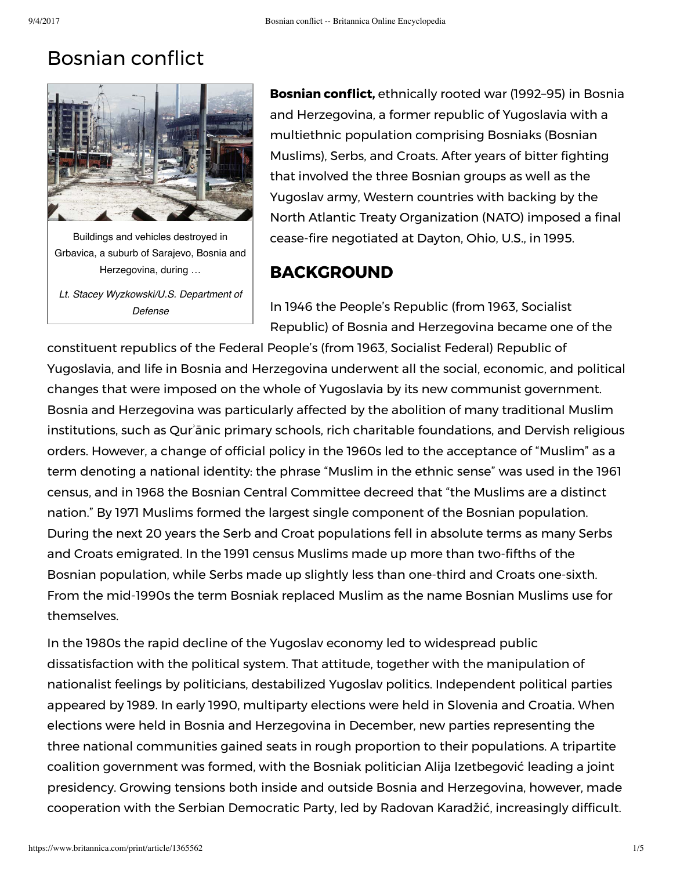## **Bosnian conflict**



Buildings and vehicles destroyed in Grbavica, a suburb of Sarajevo, Bosnia and Herzegovina, during …

*Lt. Stacey Wyzkowski/U.S. Department of Defense*

**Bosnian conflict,** ethnically rooted war (1992-95) in Bosnia and Herzegovina, a former republic of Yugoslavia with a multiethnic population comprising Bosniaks (Bosnian Muslims), Serbs, and Croats. After years of bitter fighting that involved the three Bosnian groups as well as the Yugoslav army, Western countries with backing by the North Atlantic Treaty Organization (NATO) imposed a final cease-fire negotiated at Dayton, Ohio, U.S., in 1995.

## **BACKGROUND**

In 1946 the People's Republic (from 1963, Socialist Republic) of Bosnia and Herzegovina became one of the

constituent republics of the Federal People's (from 1963, Socialist Federal) Republic of Yugoslavia, and life in Bosnia and Herzegovina underwent all the social, economic, and political changes that were imposed on the whole of Yugoslavia by its new communist government. Bosnia and Herzegovina was particularly affected by the abolition of many traditional Muslim institutions, such as Qurʾānic primary schools, rich charitable foundations, and Dervish religious orders. However, a change of official policy in the 1960s led to the acceptance of "Muslim" as a term denoting a national identity: the phrase "Muslim in the ethnic sense" was used in the 1961 census, and in 1968 the Bosnian Central Committee decreed that "the Muslims are a distinct nation." By 1971 Muslims formed the largest single component of the Bosnian population. During the next 20 years the Serb and Croat populations fell in absolute terms as many Serbs and Croats emigrated. In the 1991 census Muslims made up more than two-fifths of the Bosnian population, while Serbs made up slightly less than one-third and Croats one-sixth. From the mid-1990s the term Bosniak replaced Muslim as the name Bosnian Muslims use for themselves.

In the 1980s the rapid decline of the Yugoslav economy led to widespread public dissatisfaction with the political system. That attitude, together with the manipulation of nationalist feelings by politicians, destabilized Yugoslav politics. Independent political parties appeared by 1989. In early 1990, multiparty elections were held in Slovenia and Croatia. When elections were held in Bosnia and Herzegovina in December, new parties representing the three national communities gained seats in rough proportion to their populations. A tripartite coalition government was formed, with the Bosniak politician Alija Izetbegović leading a joint presidency. Growing tensions both inside and outside Bosnia and Herzegovina, however, made cooperation with the Serbian Democratic Party, led by Radovan Karadžić, increasingly difficult.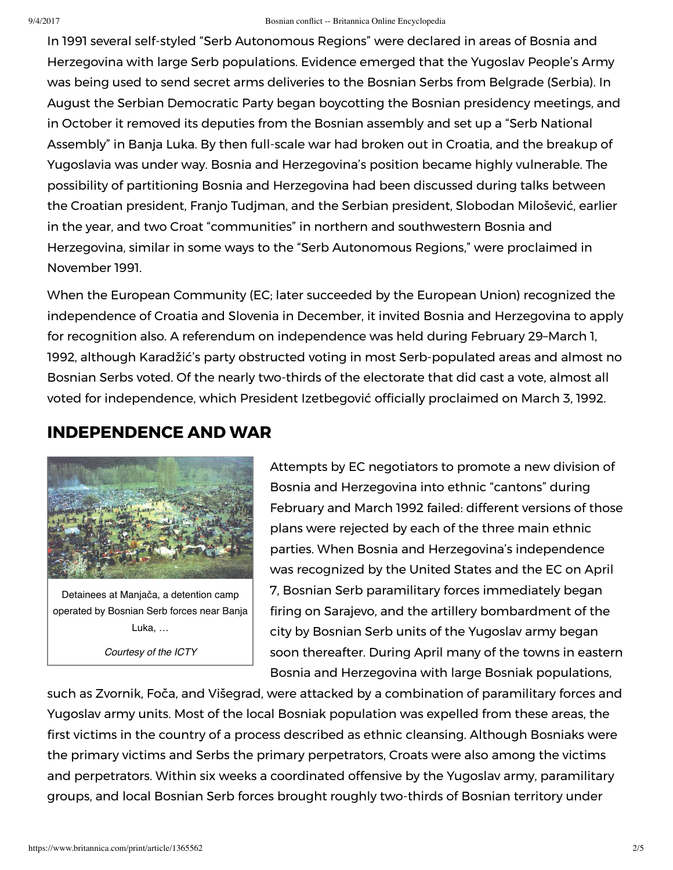In 1991 several self-styled "Serb Autonomous Regions" were declared in areas of Bosnia and Herzegovina with large Serb populations. Evidence emerged that the Yugoslav People's Army was being used to send secret arms deliveries to the Bosnian Serbs from Belgrade (Serbia). In August the Serbian Democratic Party began boycotting the Bosnian presidency meetings, and in October it removed its deputies from the Bosnian assembly and set up a "Serb National Assembly" in Banja Luka. By then full-scale war had broken out in Croatia, and the breakup of Yugoslavia was under way. Bosnia and Herzegovina's position became highly vulnerable. The possibility of partitioning Bosnia and Herzegovina had been discussed during talks between the Croatian president, Franjo Tudjman, and the Serbian president, Slobodan Milošević, earlier in the year, and two Croat "communities" in northern and southwestern Bosnia and Herzegovina, similar in some ways to the "Serb Autonomous Regions," were proclaimed in November 1991.

When the European Community (EC; later succeeded by the European Union) recognized the independence of Croatia and Slovenia in December, it invited Bosnia and Herzegovina to apply for recognition also. A referendum on independence was held during February 29–March 1, 1992, although Karadžić's party obstructed voting in most Serb-populated areas and almost no Bosnian Serbs voted. Of the nearly two-thirds of the electorate that did cast a vote, almost all voted for independence, which President Izetbegović officially proclaimed on March 3, 1992.

## **INDEPENDENCE AND WAR**



Detainees at Manjača, a detention camp operated by Bosnian Serb forces near Banja Luka, …

*Courtesy of the ICTY*

Attempts by EC negotiators to promote a new division of Bosnia and Herzegovina into ethnic "cantons" during February and March 1992 failed: different versions of those plans were rejected by each of the three main ethnic parties. When Bosnia and Herzegovina's independence was recognized by the United States and the EC on April 7, Bosnian Serb paramilitary forces immediately began ring on Sarajevo, and the artillery bombardment of the city by Bosnian Serb units of the Yugoslav army began soon thereafter. During April many of the towns in eastern Bosnia and Herzegovina with large Bosniak populations,

such as Zvornik, Foča, and Višegrad, were attacked by a combination of paramilitary forces and Yugoslav army units. Most of the local Bosniak population was expelled from these areas, the first victims in the country of a process described as ethnic cleansing. Although Bosniaks were the primary victims and Serbs the primary perpetrators, Croats were also among the victims and perpetrators. Within six weeks a coordinated offensive by the Yugoslav army, paramilitary groups, and local Bosnian Serb forces brought roughly two-thirds of Bosnian territory under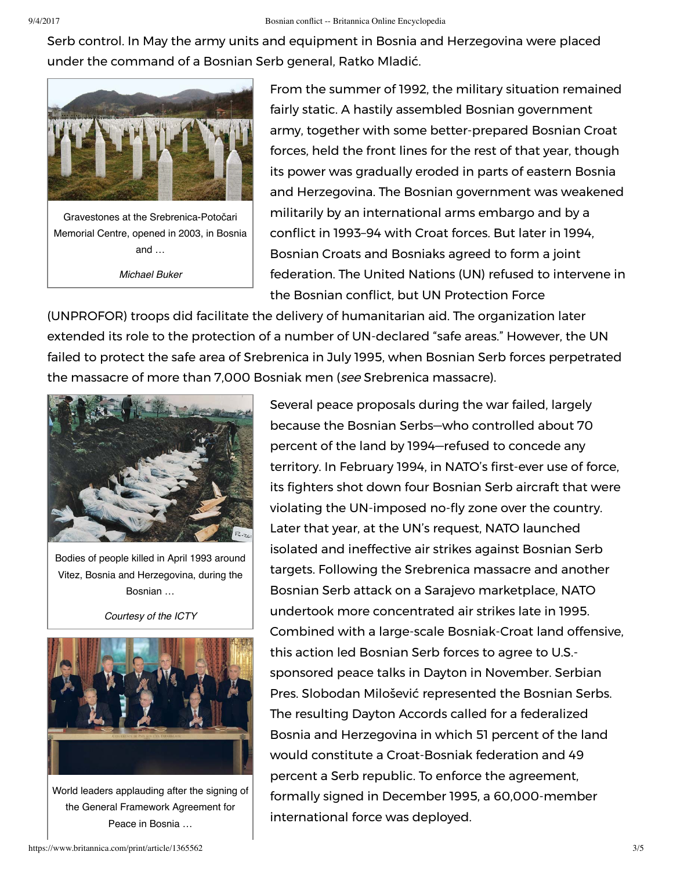Serb control. In May the army units and equipment in Bosnia and Herzegovina were placed under the command of a Bosnian Serb general, Ratko Mladić.



Gravestones at the Srebrenica-Potočari Memorial Centre, opened in 2003, in Bosnia and … *Michael Buker*

From the summer of 1992, the military situation remained fairly static. A hastily assembled Bosnian government army, together with some better-prepared Bosnian Croat forces, held the front lines for the rest of that year, though its power was gradually eroded in parts of eastern Bosnia and Herzegovina. The Bosnian government was weakened militarily by an international arms embargo and by a conflict in 1993–94 with Croat forces. But later in 1994, Bosnian Croats and Bosniaks agreed to form a joint federation. The United Nations (UN) refused to intervene in the Bosnian conflict, but UN Protection Force

(UNPROFOR) troops did facilitate the delivery of humanitarian aid. The organization later extended its role to the protection of a number of UN-declared "safe areas." However, the UN failed to protect the safe area of Srebrenica in July 1995, when Bosnian Serb forces perpetrated the massacre of more than 7,000 Bosniak men (see Srebrenica massacre).



Bodies of people killed in April 1993 around Vitez, Bosnia and Herzegovina, during the Bosnian …

*Courtesy of the ICTY*



World leaders applauding after the signing of the General Framework Agreement for Peace in Bosnia …

Several peace proposals during the war failed, largely because the Bosnian Serbs—who controlled about 70 percent of the land by 1994—refused to concede any territory. In February 1994, in NATO's first-ever use of force, its fighters shot down four Bosnian Serb aircraft that were violating the UN-imposed no-fly zone over the country. Later that year, at the UN's request, NATO launched isolated and ineffective air strikes against Bosnian Serb targets. Following the Srebrenica massacre and another Bosnian Serb attack on a Sarajevo marketplace, NATO undertook more concentrated air strikes late in 1995. Combined with a large-scale Bosniak-Croat land offensive, this action led Bosnian Serb forces to agree to U.S. sponsored peace talks in Dayton in November. Serbian Pres. Slobodan Milošević represented the Bosnian Serbs. The resulting Dayton Accords called for a federalized Bosnia and Herzegovina in which 51 percent of the land would constitute a Croat-Bosniak federation and 49 percent a Serb republic. To enforce the agreement, formally signed in December 1995, a 60,000-member international force was deployed.